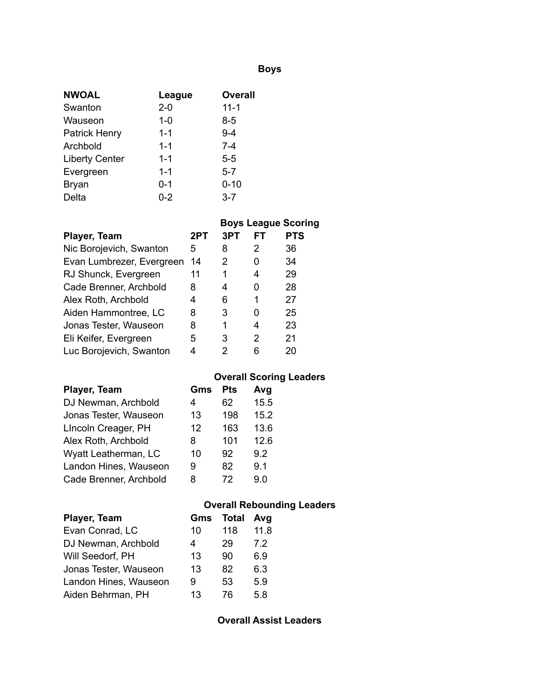# **Boys**

| <b>NWOAL</b>          | League  | <b>Overall</b> |
|-----------------------|---------|----------------|
| Swanton               | $2 - 0$ | $11 - 1$       |
| Wauseon               | $1 - 0$ | $8 - 5$        |
| <b>Patrick Henry</b>  | $1 - 1$ | $9 - 4$        |
| Archbold              | $1 - 1$ | $7 - 4$        |
| <b>Liberty Center</b> | $1 - 1$ | $5-5$          |
| Evergreen             | $1 - 1$ | $5 - 7$        |
| <b>Bryan</b>          | $0 - 1$ | $0 - 10$       |
| Delta                 | $0 - 2$ | $3 - 7$        |

|                           |     |     |     | <b>Boys League Scoring</b> |
|---------------------------|-----|-----|-----|----------------------------|
| Player, Team              | 2PT | 3PT | FT. | <b>PTS</b>                 |
| Nic Borojevich, Swanton   | 5   | 8   | 2   | 36                         |
| Evan Lumbrezer, Evergreen | 14  | 2   | 0   | 34                         |
| RJ Shunck, Evergreen      | 11  | 1   | 4   | 29                         |
| Cade Brenner, Archbold    | 8   | 4   | 0   | 28                         |
| Alex Roth, Archbold       | 4   | 6   | 1   | 27                         |
| Aiden Hammontree, LC      | 8   | 3   | 0   | 25                         |
| Jonas Tester, Wauseon     | 8   | 1   | 4   | 23                         |
| Eli Keifer, Evergreen     | 5   | 3   | 2   | 21                         |
| Luc Borojevich, Swanton   | 4   | 2   | 6   | 20                         |

# **Overall Scoring Leaders**

| Player, Team           | Gms | Pts | Avg  |
|------------------------|-----|-----|------|
| DJ Newman, Archbold    | 4   | 62  | 15.5 |
| Jonas Tester, Wauseon  | 13  | 198 | 15.2 |
| LIncoln Creager, PH    | 12  | 163 | 13.6 |
| Alex Roth, Archbold    | 8   | 101 | 12.6 |
| Wyatt Leatherman, LC   | 10  | 92  | 9.2  |
| Landon Hines, Wauseon  | 9   | 82  | 9.1  |
| Cade Brenner, Archbold | 8   | 72  | 9.0  |

## **Overall Rebounding Leaders**

| Player, Team          | Gms | <b>Total</b> | Avg  |
|-----------------------|-----|--------------|------|
| Evan Conrad, LC       | 10  | 118          | 11.8 |
| DJ Newman, Archbold   | 4   | 29           | 72   |
| Will Seedorf, PH      | 13  | 90           | 6.9  |
| Jonas Tester, Wauseon | 13  | 82           | 6.3  |
| Landon Hines, Wauseon | 9   | 53           | 5.9  |
| Aiden Behrman, PH     | 13  | 76           | 58   |

**Overall Assist Leaders**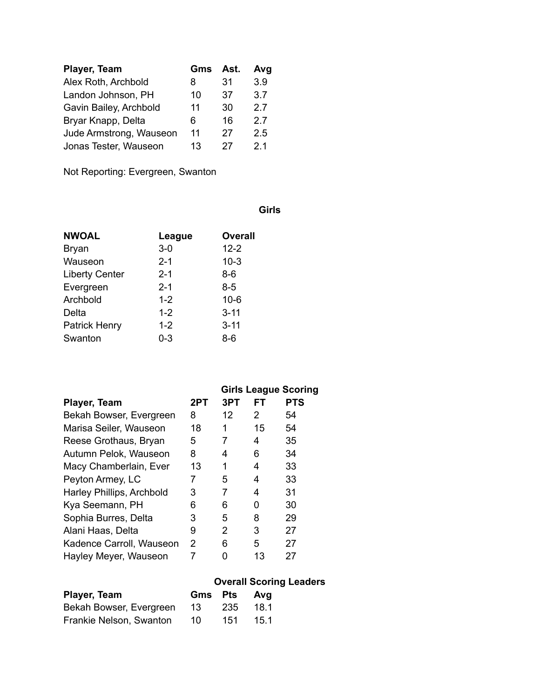| Player, Team            | Gms | Ast. | Avg            |
|-------------------------|-----|------|----------------|
| Alex Roth, Archbold     | 8   | 31   | 3.9            |
| Landon Johnson, PH      | 10  | 37   | 3.7            |
| Gavin Bailey, Archbold  | 11  | 30   | 27             |
| Bryar Knapp, Delta      | 6   | 16   | 27             |
| Jude Armstrong, Wauseon | 11  | 27   | 2.5            |
| Jonas Tester, Wauseon   | 13  | 27   | 2 <sub>1</sub> |

Not Reporting: Evergreen, Swanton

## **Girls**

| <b>NWOAL</b>          | League  | <b>Overall</b> |
|-----------------------|---------|----------------|
| <b>Bryan</b>          | $3-0$   | $12 - 2$       |
| Wauseon               | $2 - 1$ | $10-3$         |
| <b>Liberty Center</b> | $2 - 1$ | 8-6            |
| Evergreen             | $2 - 1$ | 8-5            |
| Archbold              | $1 - 2$ | $10 - 6$       |
| Delta                 | $1 - 2$ | $3 - 11$       |
| <b>Patrick Henry</b>  | $1 - 2$ | $3 - 11$       |
| Swanton               | 0-3     | 8-6            |

|                           |     | <b>Girls League Scoring</b> |     |            |
|---------------------------|-----|-----------------------------|-----|------------|
| Player, Team              | 2PT | 3PT                         | FT. | <b>PTS</b> |
| Bekah Bowser, Evergreen   | 8   | 12                          | 2   | 54         |
| Marisa Seiler, Wauseon    | 18  | 1                           | 15  | 54         |
| Reese Grothaus, Bryan     | 5   |                             | 4   | 35         |
| Autumn Pelok, Wauseon     | 8   | 4                           | 6   | 34         |
| Macy Chamberlain, Ever    | 13  | 1                           | 4   | 33         |
| Peyton Armey, LC          | 7   | 5                           | 4   | 33         |
| Harley Phillips, Archbold | 3   | 7                           | 4   | 31         |
| Kya Seemann, PH           | 6   | 6                           | 0   | 30         |
| Sophia Burres, Delta      | 3   | 5                           | 8   | 29         |
| Alani Haas, Delta         | 9   | 2                           | 3   | 27         |
| Kadence Carroll, Wauseon  | 2   | 6                           | 5   | 27         |
| Hayley Meyer, Wauseon     | 7   |                             | 13  | 27         |

|                         |      |             | <b>Overall Scoring Leaders</b> |
|-------------------------|------|-------------|--------------------------------|
| Player, Team            |      | Gms Pts Avg |                                |
| Bekah Bowser, Evergreen | -13- | -235        | -18.1                          |
| Frankie Nelson, Swanton | 10   | 151         | 15 1                           |